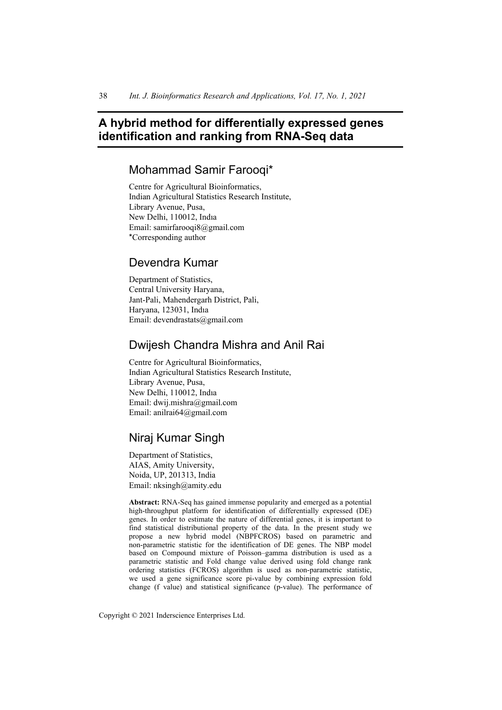## **A hybrid method for differentially expressed genes identification and ranking from RNA-Seq data**

## Mohammad Samir Farooqi\*

Centre for Agricultural Bioinformatics, Indian Agricultural Statistics Research Institute, Library Avenue, Pusa, New Delhi, 110012, Indıa Email: samirfarooqi8@gmail.com \*Corresponding author

## Devendra Kumar

Department of Statistics, Central University Haryana, Jant-Pali, Mahendergarh District, Pali, Haryana, 123031, Indıa Email: devendrastats@gmail.com

## Dwijesh Chandra Mishra and Anil Rai

Centre for Agricultural Bioinformatics, Indian Agricultural Statistics Research Institute, Library Avenue, Pusa, New Delhi, 110012, Indıa Email: dwij.mishra@gmail.com Email: anilrai64@gmail.com

# Niraj Kumar Singh

Department of Statistics, AIAS, Amity University, Noida, UP, 201313, India Email: nksingh@amity.edu

**Abstract:** RNA-Seq has gained immense popularity and emerged as a potential high-throughput platform for identification of differentially expressed (DE) genes. In order to estimate the nature of differential genes, it is important to find statistical distributional property of the data. In the present study we propose a new hybrid model (NBPFCROS) based on parametric and non-parametric statistic for the identification of DE genes. The NBP model based on Compound mixture of Poisson–gamma distribution is used as a parametric statistic and Fold change value derived using fold change rank ordering statistics (FCROS) algorithm is used as non-parametric statistic, we used a gene significance score pi-value by combining expression fold change (f value) and statistical significance (p-value). The performance of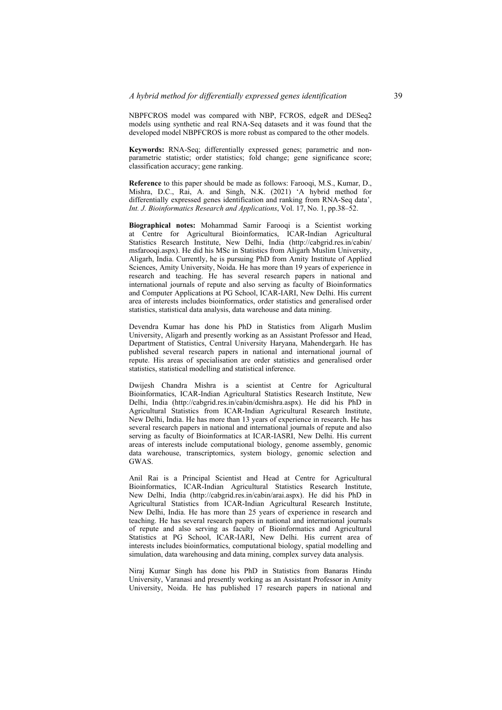NBPFCROS model was compared with NBP, FCROS, edgeR and DESeq2 models using synthetic and real RNA-Seq datasets and it was found that the developed model NBPFCROS is more robust as compared to the other models.

**Keywords:** RNA-Seq; differentially expressed genes; parametric and nonparametric statistic; order statistics; fold change; gene significance score; classification accuracy; gene ranking.

**Reference** to this paper should be made as follows: Farooqi, M.S., Kumar, D., Mishra, D.C., Rai, A. and Singh, N.K. (2021) 'A hybrid method for differentially expressed genes identification and ranking from RNA-Seq data', *Int. J. Bioinformatics Research and Applications*, Vol. 17, No. 1, pp.38–52.

**Biographical notes:** Mohammad Samir Farooqi is a Scientist working at Centre for Agricultural Bioinformatics, ICAR-Indian Agricultural Statistics Research Institute, New Delhi, India (http://cabgrid.res.in/cabin/ msfarooqi.aspx). He did his MSc in Statistics from Aligarh Muslim University, Aligarh, India. Currently, he is pursuing PhD from Amity Institute of Applied Sciences, Amity University, Noida. He has more than 19 years of experience in research and teaching. He has several research papers in national and international journals of repute and also serving as faculty of Bioinformatics and Computer Applications at PG School, ICAR-IARI, New Delhi. His current area of interests includes bioinformatics, order statistics and generalised order statistics, statistical data analysis, data warehouse and data mining.

Devendra Kumar has done his PhD in Statistics from Aligarh Muslim University, Aligarh and presently working as an Assistant Professor and Head, Department of Statistics, Central University Haryana, Mahendergarh. He has published several research papers in national and international journal of repute. His areas of specialisation are order statistics and generalised order statistics, statistical modelling and statistical inference.

Dwijesh Chandra Mishra is a scientist at Centre for Agricultural Bioinformatics, ICAR-Indian Agricultural Statistics Research Institute, New Delhi, India (http://cabgrid.res.in/cabin/dcmishra.aspx). He did his PhD in Agricultural Statistics from ICAR-Indian Agricultural Research Institute, New Delhi, India. He has more than 13 years of experience in research. He has several research papers in national and international journals of repute and also serving as faculty of Bioinformatics at ICAR-IASRI, New Delhi. His current areas of interests include computational biology, genome assembly, genomic data warehouse, transcriptomics, system biology, genomic selection and GWAS.

Anil Rai is a Principal Scientist and Head at Centre for Agricultural Bioinformatics, ICAR-Indian Agricultural Statistics Research Institute, New Delhi, India (http://cabgrid.res.in/cabin/arai.aspx). He did his PhD in Agricultural Statistics from ICAR-Indian Agricultural Research Institute, New Delhi, India. He has more than 25 years of experience in research and teaching. He has several research papers in national and international journals of repute and also serving as faculty of Bioinformatics and Agricultural Statistics at PG School, ICAR-IARI, New Delhi. His current area of interests includes bioinformatics, computational biology, spatial modelling and simulation, data warehousing and data mining, complex survey data analysis.

Niraj Kumar Singh has done his PhD in Statistics from Banaras Hindu University, Varanasi and presently working as an Assistant Professor in Amity University, Noida. He has published 17 research papers in national and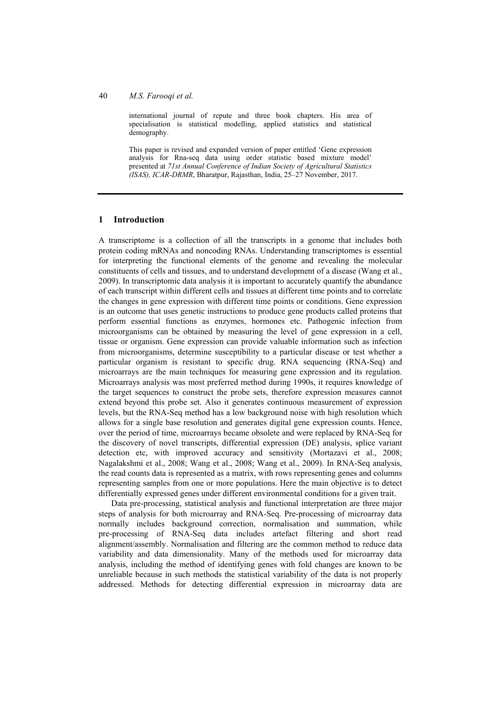#### 40 *M.S. Farooqi et al.*

international journal of repute and three book chapters. His area of specialisation is statistical modelling, applied statistics and statistical demography.

This paper is revised and expanded version of paper entitled 'Gene expression analysis for Rna-seq data using order statistic based mixture model' presented at *71st Annual Conference of Indian Society of Agricultural Statistics (ISAS), ICAR-DRMR*, Bharatpur, Rajasthan, India, 25–27 November, 2017.

### **1 Introduction**

A transcriptome is a collection of all the transcripts in a genome that includes both protein coding mRNAs and noncoding RNAs. Understanding transcriptomes is essential for interpreting the functional elements of the genome and revealing the molecular constituents of cells and tissues, and to understand development of a disease (Wang et al., 2009). In transcriptomic data analysis it is important to accurately quantify the abundance of each transcript within different cells and tissues at different time points and to correlate the changes in gene expression with different time points or conditions. Gene expression is an outcome that uses genetic instructions to produce gene products called proteins that perform essential functions as enzymes, hormones etc. Pathogenic infection from microorganisms can be obtained by measuring the level of gene expression in a cell, tissue or organism. Gene expression can provide valuable information such as infection from microorganisms, determine susceptibility to a particular disease or test whether a particular organism is resistant to specific drug. RNA sequencing (RNA-Seq) and microarrays are the main techniques for measuring gene expression and its regulation. Microarrays analysis was most preferred method during 1990s, it requires knowledge of the target sequences to construct the probe sets, therefore expression measures cannot extend beyond this probe set. Also it generates continuous measurement of expression levels, but the RNA-Seq method has a low background noise with high resolution which allows for a single base resolution and generates digital gene expression counts. Hence, over the period of time, microarrays became obsolete and were replaced by RNA-Seq for the discovery of novel transcripts, differential expression (DE) analysis, splice variant detection etc, with improved accuracy and sensitivity (Mortazavi et al., 2008; Nagalakshmi et al., 2008; Wang et al., 2008; Wang et al., 2009). In RNA-Seq analysis, the read counts data is represented as a matrix, with rows representing genes and columns representing samples from one or more populations. Here the main objective is to detect differentially expressed genes under different environmental conditions for a given trait.

Data pre-processing, statistical analysis and functional interpretation are three major steps of analysis for both microarray and RNA-Seq. Pre-processing of microarray data normally includes background correction, normalisation and summation, while pre-processing of RNA-Seq data includes artefact filtering and short read alignment/assembly. Normalisation and filtering are the common method to reduce data variability and data dimensionality. Many of the methods used for microarray data analysis, including the method of identifying genes with fold changes are known to be unreliable because in such methods the statistical variability of the data is not properly addressed. Methods for detecting differential expression in microarray data are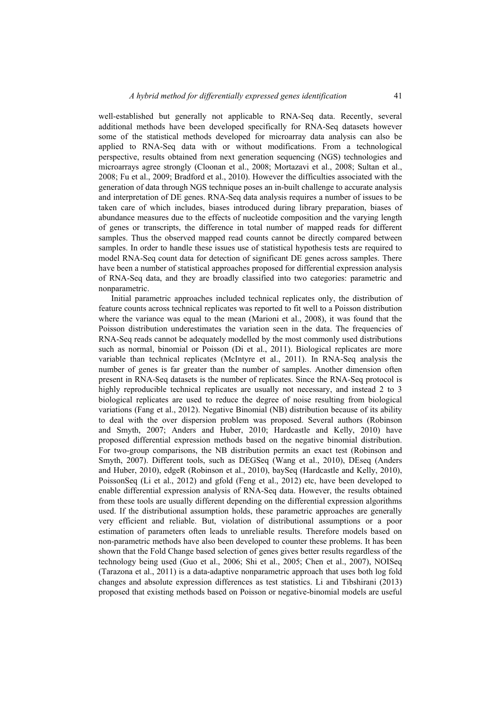well-established but generally not applicable to RNA-Seq data. Recently, several additional methods have been developed specifically for RNA-Seq datasets however some of the statistical methods developed for microarray data analysis can also be applied to RNA-Seq data with or without modifications. From a technological perspective, results obtained from next generation sequencing (NGS) technologies and microarrays agree strongly (Cloonan et al., 2008; Mortazavi et al., 2008; Sultan et al., 2008; Fu et al., 2009; Bradford et al., 2010). However the difficulties associated with the generation of data through NGS technique poses an in-built challenge to accurate analysis and interpretation of DE genes. RNA-Seq data analysis requires a number of issues to be taken care of which includes, biases introduced during library preparation, biases of abundance measures due to the effects of nucleotide composition and the varying length of genes or transcripts, the difference in total number of mapped reads for different samples. Thus the observed mapped read counts cannot be directly compared between samples. In order to handle these issues use of statistical hypothesis tests are required to model RNA-Seq count data for detection of significant DE genes across samples. There have been a number of statistical approaches proposed for differential expression analysis of RNA-Seq data, and they are broadly classified into two categories: parametric and nonparametric.

Initial parametric approaches included technical replicates only, the distribution of feature counts across technical replicates was reported to fit well to a Poisson distribution where the variance was equal to the mean (Marioni et al., 2008), it was found that the Poisson distribution underestimates the variation seen in the data. The frequencies of RNA-Seq reads cannot be adequately modelled by the most commonly used distributions such as normal, binomial or Poisson (Di et al., 2011). Biological replicates are more variable than technical replicates (McIntyre et al., 2011). In RNA-Seq analysis the number of genes is far greater than the number of samples. Another dimension often present in RNA-Seq datasets is the number of replicates. Since the RNA-Seq protocol is highly reproducible technical replicates are usually not necessary, and instead 2 to 3 biological replicates are used to reduce the degree of noise resulting from biological variations (Fang et al., 2012). Negative Binomial (NB) distribution because of its ability to deal with the over dispersion problem was proposed. Several authors (Robinson and Smyth, 2007; Anders and Huber, 2010; Hardcastle and Kelly, 2010) have proposed differential expression methods based on the negative binomial distribution. For two-group comparisons, the NB distribution permits an exact test (Robinson and Smyth, 2007). Different tools, such as DEGSeq (Wang et al., 2010), DEseq (Anders and Huber, 2010), edgeR (Robinson et al., 2010), baySeq (Hardcastle and Kelly, 2010), PoissonSeq (Li et al., 2012) and gfold (Feng et al., 2012) etc, have been developed to enable differential expression analysis of RNA-Seq data. However, the results obtained from these tools are usually different depending on the differential expression algorithms used. If the distributional assumption holds, these parametric approaches are generally very efficient and reliable. But, violation of distributional assumptions or a poor estimation of parameters often leads to unreliable results. Therefore models based on non-parametric methods have also been developed to counter these problems. It has been shown that the Fold Change based selection of genes gives better results regardless of the technology being used (Guo et al., 2006; Shi et al., 2005; Chen et al., 2007), NOISeq (Tarazona et al., 2011) is a data-adaptive nonparametric approach that uses both log fold changes and absolute expression differences as test statistics. Li and Tibshirani (2013) proposed that existing methods based on Poisson or negative-binomial models are useful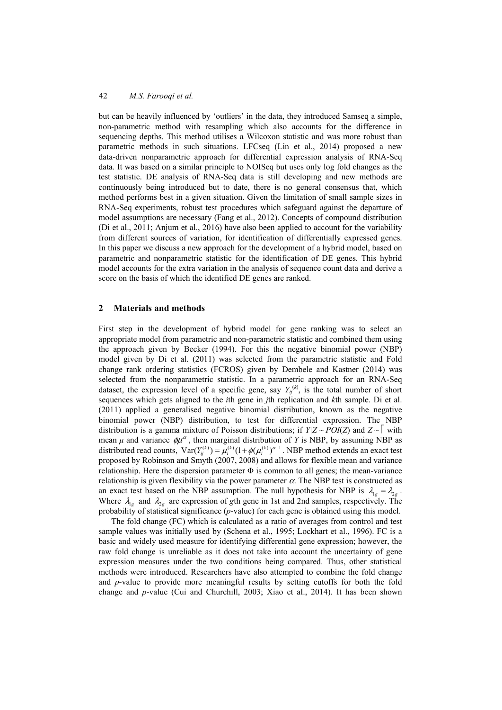but can be heavily influenced by 'outliers' in the data, they introduced Samseq a simple, non-parametric method with resampling which also accounts for the difference in sequencing depths. This method utilises a Wilcoxon statistic and was more robust than parametric methods in such situations. LFCseq (Lin et al., 2014) proposed a new data-driven nonparametric approach for differential expression analysis of RNA-Seq data. It was based on a similar principle to NOISeq but uses only log fold changes as the test statistic. DE analysis of RNA-Seq data is still developing and new methods are continuously being introduced but to date, there is no general consensus that, which method performs best in a given situation. Given the limitation of small sample sizes in RNA-Seq experiments, robust test procedures which safeguard against the departure of model assumptions are necessary (Fang et al., 2012). Concepts of compound distribution (Di et al., 2011; Anjum et al., 2016) have also been applied to account for the variability from different sources of variation, for identification of differentially expressed genes. In this paper we discuss a new approach for the development of a hybrid model, based on parametric and nonparametric statistic for the identification of DE genes. This hybrid model accounts for the extra variation in the analysis of sequence count data and derive a score on the basis of which the identified DE genes are ranked.

### **2 Materials and methods**

First step in the development of hybrid model for gene ranking was to select an appropriate model from parametric and non-parametric statistic and combined them using the approach given by Becker (1994). For this the negative binomial power (NBP) model given by Di et al. (2011) was selected from the parametric statistic and Fold change rank ordering statistics (FCROS) given by Dembele and Kastner (2014) was selected from the nonparametric statistic. In a parametric approach for an RNA-Seq dataset, the expression level of a specific gene, say  $Y_{ij}^{(k)}$ , is the total number of short sequences which gets aligned to the *i*th gene in *j*th replication and *k*th sample. Di et al. (2011) applied a generalised negative binomial distribution, known as the negative binomial power (NBP) distribution, to test for differential expression. The NBP distribution is a gamma mixture of Poisson distributions; if  $Y|Z \sim POI(Z)$  and  $Z \sim |W|$ mean  $\mu$  and variance  $\phi \mu^{\alpha}$ , then marginal distribution of *Y* is NBP, by assuming NBP as distributed read counts,  $Var(Y_{ij}^{(k)}) = \mu_i^{(k)} (1 + \phi(\mu_i^{(k)})^{\alpha-1})$ . NBP method extends an exact test proposed by Robinson and Smyth (2007, 2008) and allows for flexible mean and variance relationship. Here the dispersion parameter  $\Phi$  is common to all genes; the mean-variance relationship is given flexibility via the power parameter  $\alpha$ . The NBP test is constructed as an exact test based on the NBP assumption. The null hypothesis for NBP is  $\lambda_{1g} = \lambda_{2g}$ . Where  $\lambda_{1g}$  and  $\lambda_{2g}$  are expression of *g*th gene in 1st and 2nd samples, respectively. The probability of statistical significance (*p*-value) for each gene is obtained using this model.

The fold change (FC) which is calculated as a ratio of averages from control and test sample values was initially used by (Schena et al., 1995; Lockhart et al., 1996). FC is a basic and widely used measure for identifying differential gene expression; however, the raw fold change is unreliable as it does not take into account the uncertainty of gene expression measures under the two conditions being compared. Thus, other statistical methods were introduced. Researchers have also attempted to combine the fold change and *p*-value to provide more meaningful results by setting cutoffs for both the fold change and *p*-value (Cui and Churchill, 2003; Xiao et al., 2014). It has been shown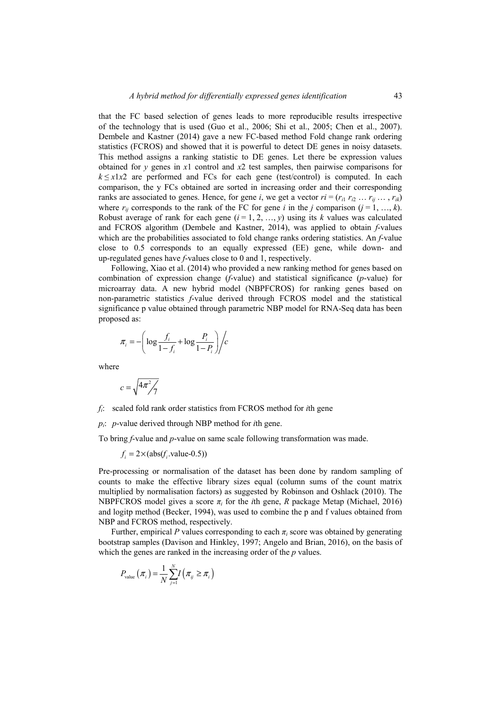that the FC based selection of genes leads to more reproducible results irrespective of the technology that is used (Guo et al., 2006; Shi et al., 2005; Chen et al., 2007). Dembele and Kastner (2014) gave a new FC-based method Fold change rank ordering statistics (FCROS) and showed that it is powerful to detect DE genes in noisy datasets. This method assigns a ranking statistic to DE genes. Let there be expression values obtained for *y* genes in *x*1 control and *x*2 test samples, then pairwise comparisons for  $k \le x \le 1 \times 2$  are performed and FCs for each gene (test/control) is computed. In each comparison, the y FCs obtained are sorted in increasing order and their corresponding ranks are associated to genes. Hence, for gene *i*, we get a vector  $ri = (r_{i1} r_{i2} \dots r_{ii} \dots r_{ik})$ where  $r_{ii}$  corresponds to the rank of the FC for gene *i* in the *j* comparison  $(j = 1, ..., k)$ . Robust average of rank for each gene  $(i = 1, 2, ..., y)$  using its *k* values was calculated and FCROS algorithm (Dembele and Kastner, 2014), was applied to obtain *f*-values which are the probabilities associated to fold change ranks ordering statistics. An *f*-value close to 0.5 corresponds to an equally expressed (EE) gene, while down- and up-regulated genes have *f*-values close to 0 and 1, respectively.

Following, Xiao et al. (2014) who provided a new ranking method for genes based on combination of expression change (*f*-value) and statistical significance (*p*-value) for microarray data. A new hybrid model (NBPFCROS) for ranking genes based on non-parametric statistics *f*-value derived through FCROS model and the statistical significance p value obtained through parametric NBP model for RNA-Seq data has been proposed as:

$$
\pi_i = -\left(\log \frac{f_i}{1 - f_i} + \log \frac{P_i}{1 - P_i}\right)\Big/c
$$

where

$$
c = \sqrt{4\pi^2/7}
$$

*fi*: scaled fold rank order statistics from FCROS method for *i*th gene

*pi*: *p*-value derived through NBP method for *i*th gene.

To bring *f*-value and *p*-value on same scale following transformation was made.

 $f_i = 2 \times (abs(f_i, value-0.5))$ 

Pre-processing or normalisation of the dataset has been done by random sampling of counts to make the effective library sizes equal (column sums of the count matrix multiplied by normalisation factors) as suggested by Robinson and Oshlack (2010). The NBPFCROS model gives a score  $\pi$ <sup>*i*</sup> for the *i*th gene, *R* package Metap (Michael, 2016) and logitp method (Becker, 1994), was used to combine the p and f values obtained from NBP and FCROS method, respectively.

Further, empirical *P* values corresponding to each  $\pi$ <sup>*i*</sup> score was obtained by generating bootstrap samples (Davison and Hinkley, 1997; Angelo and Brian, 2016), on the basis of which the genes are ranked in the increasing order of the *p* values.

$$
P_{\text{value}}\left(\pi_{i}\right) = \frac{1}{N} \sum_{j=1}^{N} I\left(\pi_{ij} \geq \pi_{i}\right)
$$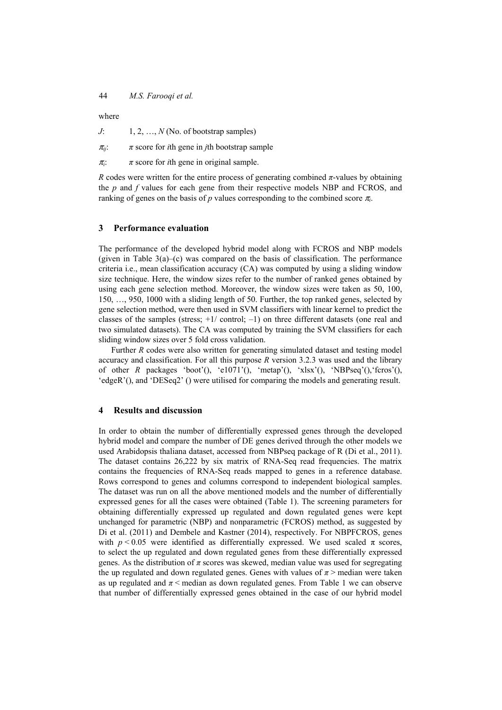where

*J*: 1, 2, ..., *N* (No. of bootstrap samples)

 $\pi_{ii}$ :  $\pi$  score for *i*th gene in *j*th bootstrap sample

<sup>π</sup>*i*: *π* score for *i*th gene in original sample.

*R* codes were written for the entire process of generating combined *π*-values by obtaining the *p* and *f* values for each gene from their respective models NBP and FCROS, and ranking of genes on the basis of  $p$  values corresponding to the combined score  $\pi_i$ .

### **3 Performance evaluation**

The performance of the developed hybrid model along with FCROS and NBP models (given in Table  $3(a)$ –(c) was compared on the basis of classification. The performance criteria i.e., mean classification accuracy (CA) was computed by using a sliding window size technique. Here, the window sizes refer to the number of ranked genes obtained by using each gene selection method. Moreover, the window sizes were taken as 50, 100, 150, …, 950, 1000 with a sliding length of 50. Further, the top ranked genes, selected by gene selection method, were then used in SVM classifiers with linear kernel to predict the classes of the samples (stress; +1/ control; –1) on three different datasets (one real and two simulated datasets). The CA was computed by training the SVM classifiers for each sliding window sizes over 5 fold cross validation.

Further *R* codes were also written for generating simulated dataset and testing model accuracy and classification. For all this purpose *R* version 3.2.3 was used and the library of other *R* packages 'boot'(), 'e1071'(), 'metap'(), 'xlsx'(), 'NBPseq'(), 'fcros'(), 'edgeR'(), and 'DESeq2' () were utilised for comparing the models and generating result.

### **4 Results and discussion**

In order to obtain the number of differentially expressed genes through the developed hybrid model and compare the number of DE genes derived through the other models we used Arabidopsis thaliana dataset, accessed from NBPseq package of R (Di et al., 2011). The dataset contains 26,222 by six matrix of RNA-Seq read frequencies. The matrix contains the frequencies of RNA-Seq reads mapped to genes in a reference database. Rows correspond to genes and columns correspond to independent biological samples. The dataset was run on all the above mentioned models and the number of differentially expressed genes for all the cases were obtained (Table 1). The screening parameters for obtaining differentially expressed up regulated and down regulated genes were kept unchanged for parametric (NBP) and nonparametric (FCROS) method, as suggested by Di et al. (2011) and Dembele and Kastner (2014), respectively. For NBPFCROS, genes with  $p \le 0.05$  were identified as differentially expressed. We used scaled  $\pi$  scores, to select the up regulated and down regulated genes from these differentially expressed genes. As the distribution of  $\pi$  scores was skewed, median value was used for segregating the up regulated and down regulated genes. Genes with values of  $\pi$  > median were taken as up regulated and *π* < median as down regulated genes. From Table 1 we can observe that number of differentially expressed genes obtained in the case of our hybrid model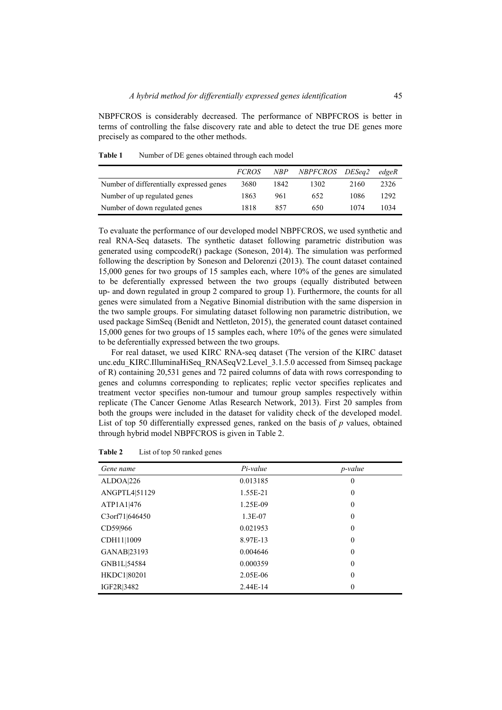NBPFCROS is considerably decreased. The performance of NBPFCROS is better in terms of controlling the false discovery rate and able to detect the true DE genes more precisely as compared to the other methods.

|                                          | <i>FCROS</i> | NBP  | <i>NBPFCROS</i> | DESea2 | edgeR |
|------------------------------------------|--------------|------|-----------------|--------|-------|
| Number of differentially expressed genes | 3680         | 1842 | 1302            | 2160   | 2326  |
| Number of up regulated genes             | 1863         | 961  | 652             | 1086   | 1292  |
| Number of down regulated genes           | 1818         | 857  | 650             | 1074   | 1034  |

**Table 1** Number of DE genes obtained through each model

To evaluate the performance of our developed model NBPFCROS, we used synthetic and real RNA-Seq datasets. The synthetic dataset following parametric distribution was generated using compcodeR() package (Soneson, 2014). The simulation was performed following the description by Soneson and Delorenzi (2013). The count dataset contained 15,000 genes for two groups of 15 samples each, where 10% of the genes are simulated to be deferentially expressed between the two groups (equally distributed between up- and down regulated in group 2 compared to group 1). Furthermore, the counts for all genes were simulated from a Negative Binomial distribution with the same dispersion in the two sample groups. For simulating dataset following non parametric distribution, we used package SimSeq (Benidt and Nettleton, 2015), the generated count dataset contained 15,000 genes for two groups of 15 samples each, where 10% of the genes were simulated to be deferentially expressed between the two groups.

For real dataset, we used KIRC RNA-seq dataset (The version of the KIRC dataset unc.edu\_KIRC.IlluminaHiSeq\_RNASeqV2.Level\_3.1.5.0 accessed from Simseq package of R) containing 20,531 genes and 72 paired columns of data with rows corresponding to genes and columns corresponding to replicates; replic vector specifies replicates and treatment vector specifies non-tumour and tumour group samples respectively within replicate (The Cancer Genome Atlas Research Network, 2013). First 20 samples from both the groups were included in the dataset for validity check of the developed model. List of top 50 differentially expressed genes, ranked on the basis of *p* values, obtained through hybrid model NBPFCROS is given in Table 2.

| Gene name      | Pi-value  | <i>p</i> -value  |
|----------------|-----------|------------------|
| ALDOA 226      | 0.013185  | $\theta$         |
| ANGPTL4 51129  | 1.55E-21  | $\boldsymbol{0}$ |
| ATP1A1 476     | 1.25E-09  | $\theta$         |
| C3orf71 646450 | $1.3E-07$ | $\theta$         |
| CD59 966       | 0.021953  | $\theta$         |
| CDH11 1009     | 8.97E-13  | $\theta$         |
| GANAB 23193    | 0.004646  | $\theta$         |
| GNB1L 54584    | 0.000359  | $\theta$         |
| HKDC1 80201    | 2.05E-06  | $\theta$         |
| IGF2R 3482     | 2.44E-14  | $\theta$         |

Table 2 List of top 50 ranked genes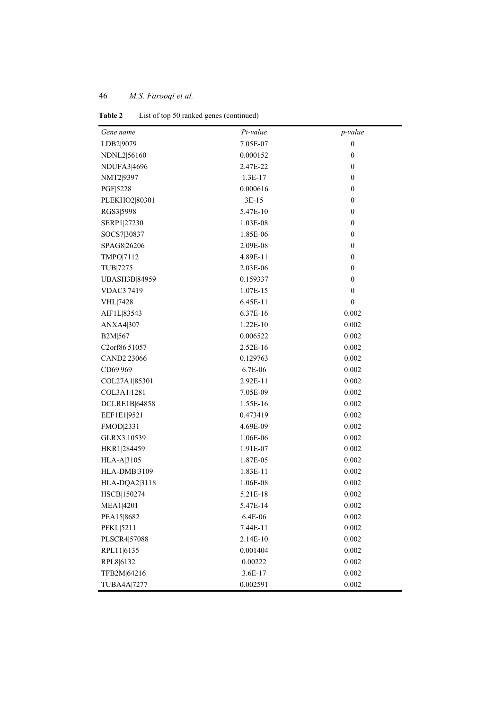### 46 *M.S. Farooqi et al.*

| Gene name                  | Pi-value   | <i>p</i> -value  |
|----------------------------|------------|------------------|
| LDB2 9079                  | 7.05E-07   | $\boldsymbol{0}$ |
| NDNL2 56160                | 0.000152   | $\boldsymbol{0}$ |
| <b>NDUFA3</b> 4696         | 2.47E-22   | $\boldsymbol{0}$ |
| NMT2 9397                  | $1.3E-17$  | $\boldsymbol{0}$ |
| PGF 5228                   | 0.000616   | $\mathbf{0}$     |
| PLEKHO2 80301              | $3E-15$    | $\boldsymbol{0}$ |
| RGS3 5998                  | 5.47E-10   | $\mathbf{0}$     |
| SERP1 27230                | 1.03E-08   | $\boldsymbol{0}$ |
| SOCS7 30837                | 1.85E-06   | 0                |
| SPAG8 26206                | 2.09E-08   | $\boldsymbol{0}$ |
| TMPO 7112                  | 4.89E-11   | $\boldsymbol{0}$ |
| TUB 7275                   | 2.03E-06   | $\boldsymbol{0}$ |
| UBASH3B 84959              | 0.159337   | $\boldsymbol{0}$ |
| VDAC3 7419                 | 1.07E-15   | $\boldsymbol{0}$ |
| <b>VHL</b> 7428            | 6.45E-11   | $\boldsymbol{0}$ |
| AIF1L 83543                | 6.37E-16   | 0.002            |
| ANXA4 307                  | 1.22E-10   | 0.002            |
| B2M 567                    | 0.006522   | 0.002            |
| C <sub>2</sub> orf86 51057 | $2.52E-16$ | 0.002            |
| CAND2 23066                | 0.129763   | 0.002            |
| CD69 969                   | 6.7E-06    | 0.002            |
| COL27A1 85301              | 2.92E-11   | 0.002            |
| COL3A1 1281                | 7.05E-09   | 0.002            |
| DCLRE1B 64858              | 1.55E-16   | 0.002            |
| EEF1E1 9521                | 0.473419   | 0.002            |
| FMOD 2331                  | 4.69E-09   | 0.002            |
| GLRX3 10539                | 1.06E-06   | 0.002            |
| HKR1 284459                | 1.91E-07   | 0.002            |
| HLA-A 3105                 | 1.87E-05   | 0.002            |
| HLA-DMB 3109               | 1.83E-11   | 0.002            |
| HLA-DQA2 3118              | 1.06E-08   | 0.002            |
| HSCB 150274                | 5.21E-18   | 0.002            |
| MEA1 4201                  | 5.47E-14   | 0.002            |
| PEA15 8682                 | 6.4E-06    | 0.002            |
| PFKL 5211                  | 7.44E-11   | 0.002            |
| PLSCR4 57088               | 2.14E-10   | 0.002            |
| RPL11 6135                 | 0.001404   | 0.002            |
| RPL8 6132                  | 0.00222    | 0.002            |
| TFB2M 64216                | 3.6E-17    | 0.002            |
| <b>TUBA4A 7277</b>         | 0.002591   | 0.002            |

Table 2 List of top 50 ranked genes (continued)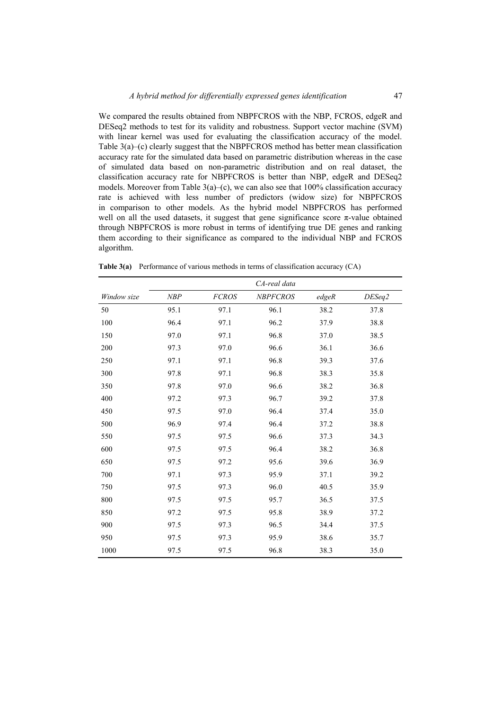We compared the results obtained from NBPFCROS with the NBP, FCROS, edgeR and DESeq2 methods to test for its validity and robustness. Support vector machine (SVM) with linear kernel was used for evaluating the classification accuracy of the model. Table 3(a)–(c) clearly suggest that the NBPFCROS method has better mean classification accuracy rate for the simulated data based on parametric distribution whereas in the case of simulated data based on non-parametric distribution and on real dataset, the classification accuracy rate for NBPFCROS is better than NBP, edgeR and DESeq2 models. Moreover from Table  $3(a)$ –(c), we can also see that  $100\%$  classification accuracy rate is achieved with less number of predictors (widow size) for NBPFCROS in comparison to other models. As the hybrid model NBPFCROS has performed well on all the used datasets, it suggest that gene significance score  $\pi$ -value obtained through NBPFCROS is more robust in terms of identifying true DE genes and ranking them according to their significance as compared to the individual NBP and FCROS algorithm.

|             | CA-real data |              |                 |      |        |
|-------------|--------------|--------------|-----------------|------|--------|
| Window size | NBP          | <b>FCROS</b> | <b>NBPFCROS</b> | edge | DESeq2 |
| 50          | 95.1         | 97.1         | 96.1            | 38.2 | 37.8   |
| 100         | 96.4         | 97.1         | 96.2            | 37.9 | 38.8   |
| 150         | 97.0         | 97.1         | 96.8            | 37.0 | 38.5   |
| 200         | 97.3         | 97.0         | 96.6            | 36.1 | 36.6   |
| 250         | 97.1         | 97.1         | 96.8            | 39.3 | 37.6   |
| 300         | 97.8         | 97.1         | 96.8            | 38.3 | 35.8   |
| 350         | 97.8         | 97.0         | 96.6            | 38.2 | 36.8   |
| 400         | 97.2         | 97.3         | 96.7            | 39.2 | 37.8   |
| 450         | 97.5         | 97.0         | 96.4            | 37.4 | 35.0   |
| 500         | 96.9         | 97.4         | 96.4            | 37.2 | 38.8   |
| 550         | 97.5         | 97.5         | 96.6            | 37.3 | 34.3   |
| 600         | 97.5         | 97.5         | 96.4            | 38.2 | 36.8   |
| 650         | 97.5         | 97.2         | 95.6            | 39.6 | 36.9   |
| 700         | 97.1         | 97.3         | 95.9            | 37.1 | 39.2   |
| 750         | 97.5         | 97.3         | 96.0            | 40.5 | 35.9   |
| 800         | 97.5         | 97.5         | 95.7            | 36.5 | 37.5   |
| 850         | 97.2         | 97.5         | 95.8            | 38.9 | 37.2   |
| 900         | 97.5         | 97.3         | 96.5            | 34.4 | 37.5   |
| 950         | 97.5         | 97.3         | 95.9            | 38.6 | 35.7   |
| 1000        | 97.5         | 97.5         | 96.8            | 38.3 | 35.0   |

**Table 3(a)** Performance of various methods in terms of classification accuracy (CA)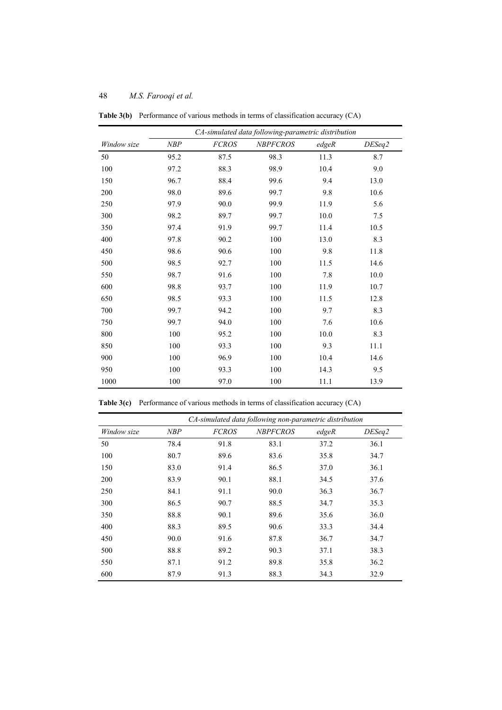|             | CA-simulated data following-parametric distribution |              |                 |       |        |
|-------------|-----------------------------------------------------|--------------|-----------------|-------|--------|
| Window size | NBP                                                 | <b>FCROS</b> | <b>NBPFCROS</b> | edgeR | DESeq2 |
| 50          | 95.2                                                | 87.5         | 98.3            | 11.3  | 8.7    |
| 100         | 97.2                                                | 88.3         | 98.9            | 10.4  | 9.0    |
| 150         | 96.7                                                | 88.4         | 99.6            | 9.4   | 13.0   |
| 200         | 98.0                                                | 89.6         | 99.7            | 9.8   | 10.6   |
| 250         | 97.9                                                | 90.0         | 99.9            | 11.9  | 5.6    |
| 300         | 98.2                                                | 89.7         | 99.7            | 10.0  | 7.5    |
| 350         | 97.4                                                | 91.9         | 99.7            | 11.4  | 10.5   |
| 400         | 97.8                                                | 90.2         | 100             | 13.0  | 8.3    |
| 450         | 98.6                                                | 90.6         | 100             | 9.8   | 11.8   |
| 500         | 98.5                                                | 92.7         | 100             | 11.5  | 14.6   |
| 550         | 98.7                                                | 91.6         | 100             | 7.8   | 10.0   |
| 600         | 98.8                                                | 93.7         | 100             | 11.9  | 10.7   |
| 650         | 98.5                                                | 93.3         | 100             | 11.5  | 12.8   |
| 700         | 99.7                                                | 94.2         | 100             | 9.7   | 8.3    |
| 750         | 99.7                                                | 94.0         | 100             | 7.6   | 10.6   |
| 800         | 100                                                 | 95.2         | 100             | 10.0  | 8.3    |
| 850         | 100                                                 | 93.3         | 100             | 9.3   | 11.1   |
| 900         | 100                                                 | 96.9         | 100             | 10.4  | 14.6   |
| 950         | 100                                                 | 93.3         | 100             | 14.3  | 9.5    |
| 1000        | 100                                                 | 97.0         | 100             | 11.1  | 13.9   |

**Table 3(b)** Performance of various methods in terms of classification accuracy (CA)

|  | Table $3(c)$ Performance of various methods in terms of classification accuracy $(CA)$ |  |
|--|----------------------------------------------------------------------------------------|--|
|  |                                                                                        |  |

| CA-simulated data following non-parametric distribution |      |              |                 |       |        |
|---------------------------------------------------------|------|--------------|-----------------|-------|--------|
| Window size                                             | NBP  | <b>FCROS</b> | <b>NBPFCROS</b> | edgeR | DESeq2 |
| 50                                                      | 78.4 | 91.8         | 83.1            | 37.2  | 36.1   |
| 100                                                     | 80.7 | 89.6         | 83.6            | 35.8  | 34.7   |
| 150                                                     | 83.0 | 91.4         | 86.5            | 37.0  | 36.1   |
| 200                                                     | 83.9 | 90.1         | 88.1            | 34.5  | 37.6   |
| 250                                                     | 84.1 | 91.1         | 90.0            | 36.3  | 36.7   |
| 300                                                     | 86.5 | 90.7         | 88.5            | 34.7  | 35.3   |
| 350                                                     | 88.8 | 90.1         | 89.6            | 35.6  | 36.0   |
| 400                                                     | 88.3 | 89.5         | 90.6            | 33.3  | 34.4   |
| 450                                                     | 90.0 | 91.6         | 87.8            | 36.7  | 34.7   |
| 500                                                     | 88.8 | 89.2         | 90.3            | 37.1  | 38.3   |
| 550                                                     | 87.1 | 91.2         | 89.8            | 35.8  | 36.2   |
| 600                                                     | 87.9 | 91.3         | 88.3            | 34.3  | 32.9   |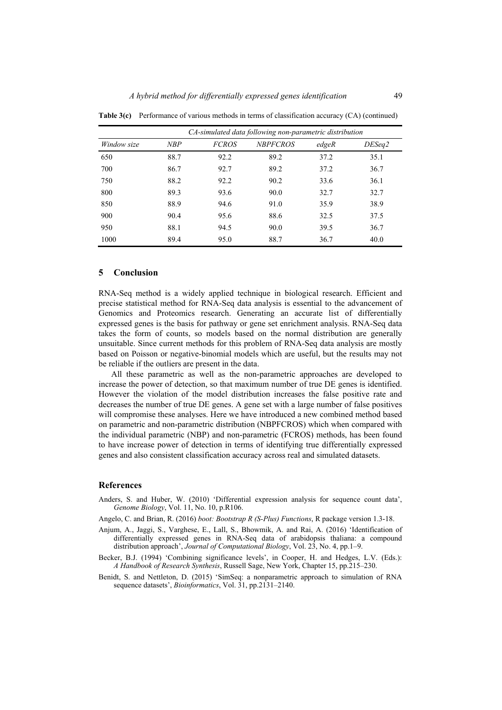|             | CA-simulated data following non-parametric distribution |              |                 |       |        |  |
|-------------|---------------------------------------------------------|--------------|-----------------|-------|--------|--|
| Window size | <b>NBP</b>                                              | <b>FCROS</b> | <b>NBPFCROS</b> | edgeR | DESeq2 |  |
| 650         | 88.7                                                    | 92.2         | 89.2            | 37.2  | 35.1   |  |
| 700         | 86.7                                                    | 92.7         | 89.2            | 37.2  | 36.7   |  |
| 750         | 88.2                                                    | 92.2         | 90.2            | 33.6  | 36.1   |  |
| 800         | 89.3                                                    | 93.6         | 90.0            | 32.7  | 32.7   |  |
| 850         | 88.9                                                    | 94.6         | 91.0            | 35.9  | 38.9   |  |
| 900         | 90.4                                                    | 95.6         | 88.6            | 32.5  | 37.5   |  |
| 950         | 88.1                                                    | 94.5         | 90.0            | 39.5  | 36.7   |  |
| 1000        | 89.4                                                    | 95.0         | 88.7            | 36.7  | 40.0   |  |

**Table 3(c)** Performance of various methods in terms of classification accuracy (CA) (continued)

#### **5 Conclusion**

RNA-Seq method is a widely applied technique in biological research. Efficient and precise statistical method for RNA-Seq data analysis is essential to the advancement of Genomics and Proteomics research. Generating an accurate list of differentially expressed genes is the basis for pathway or gene set enrichment analysis. RNA-Seq data takes the form of counts, so models based on the normal distribution are generally unsuitable. Since current methods for this problem of RNA-Seq data analysis are mostly based on Poisson or negative-binomial models which are useful, but the results may not be reliable if the outliers are present in the data.

All these parametric as well as the non-parametric approaches are developed to increase the power of detection, so that maximum number of true DE genes is identified. However the violation of the model distribution increases the false positive rate and decreases the number of true DE genes. A gene set with a large number of false positives will compromise these analyses. Here we have introduced a new combined method based on parametric and non-parametric distribution (NBPFCROS) which when compared with the individual parametric (NBP) and non-parametric (FCROS) methods, has been found to have increase power of detection in terms of identifying true differentially expressed genes and also consistent classification accuracy across real and simulated datasets.

#### **References**

- Anders, S. and Huber, W. (2010) 'Differential expression analysis for sequence count data', *Genome Biology*, Vol. 11, No. 10, p.R106.
- Angelo, C. and Brian, R. (2016) *boot: Bootstrap R (S-Plus) Functions*, R package version 1.3-18.
- Anjum, A., Jaggi, S., Varghese, E., Lall, S., Bhowmik, A. and Rai, A. (2016) 'Identification of differentially expressed genes in RNA-Seq data of arabidopsis thaliana: a compound distribution approach', *Journal of Computational Biology*, Vol. 23, No. 4, pp.1–9.
- Becker, B.J. (1994) 'Combining significance levels', in Cooper, H. and Hedges, L.V. (Eds.): *A Handbook of Research Synthesis*, Russell Sage, New York, Chapter 15, pp.215–230.
- Benidt, S. and Nettleton, D. (2015) 'SimSeq: a nonparametric approach to simulation of RNA sequence datasets', *Bioinformatics*, Vol. 31, pp.2131–2140.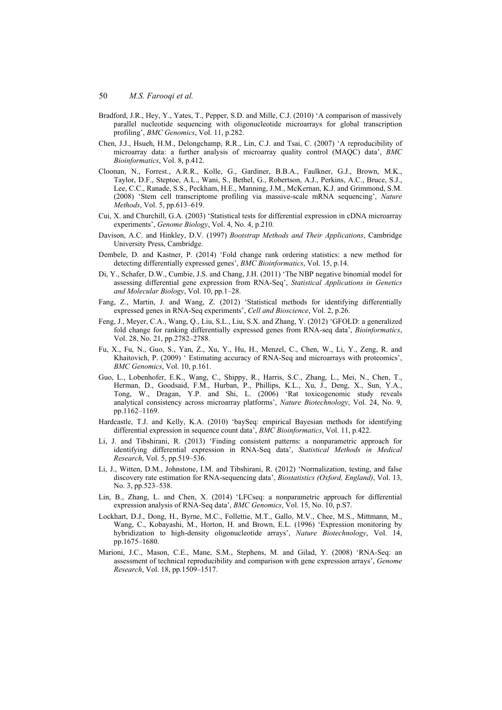- Bradford, J.R., Hey, Y., Yates, T., Pepper, S.D. and Mille, C.J. (2010) 'A comparison of massively parallel nucleotide sequencing with oligonucleotide microarrays for global transcription profiling', *BMC Genomics*, Vol. 11, p.282.
- Chen, J.J., Hsueh, H.M., Delongchamp, R.R., Lin, C.J. and Tsai, C. (2007) 'A reproducibility of microarray data: a further analysis of microarray quality control (MAQC) data', *BMC Bioinformatics*, Vol. 8, p.412.
- Cloonan, N., Forrest., A.R.R., Kolle, G., Gardiner, B.B.A., Faulkner, G.J., Brown, M.K., Taylor, D.F., Steptoe, A.L., Wani, S., Bethel, G., Robertson, A.J., Perkins, A.C., Bruce, S.J., Lee, C.C., Ranade, S.S., Peckham, H.E., Manning, J.M., McKernan, K.J. and Grimmond, S.M. (2008) 'Stem cell transcriptome profiling via massive-scale mRNA sequencing', *Nature Methods*, Vol. 5, pp.613–619.
- Cui, X. and Churchill, G.A. (2003) 'Statistical tests for differential expression in cDNA microarray experiments', *Genome Biology*, Vol. 4, No. 4, p.210.
- Davison, A.C. and Hinkley, D.V. (1997) *Bootstrap Methods and Their Applications*, Cambridge University Press, Cambridge.
- Dembele, D. and Kastner, P. (2014) 'Fold change rank ordering statistics: a new method for detecting differentially expressed genes', *BMC Bioinformatics*, Vol. 15, p.14.
- Di, Y., Schafer, D.W., Cumbie, J.S. and Chang, J.H. (2011) 'The NBP negative binomial model for assessing differential gene expression from RNA-Seq', *Statistical Applications in Genetics and Molecular Biology*, Vol. 10, pp.1–28.
- Fang, Z., Martin, J. and Wang, Z. (2012) 'Statistical methods for identifying differentially expressed genes in RNA-Seq experiments', *Cell and Bioscience*, Vol. 2, p.26.
- Feng, J., Meyer, C.A., Wang, Q., Liu, S.L., Liu, S.X. and Zhang, Y. (2012) 'GFOLD: a generalized fold change for ranking differentially expressed genes from RNA-seq data', *Bioinformatics*, Vol. 28, No. 21, pp.2782–2788.
- Fu, X., Fu, N., Guo, S., Yan, Z., Xu, Y., Hu, H., Menzel, C., Chen, W., Li, Y., Zeng, R. and Khaitovich, P. (2009) ' Estimating accuracy of RNA-Seq and microarrays with proteomics', *BMC Genomics*, Vol. 10, p.161.
- Guo, L., Lobenhofer, E.K., Wang, C., Shippy, R., Harris, S.C., Zhang, L., Mei, N., Chen, T., Herman, D., Goodsaid, F.M., Hurban, P., Phillips, K.L., Xu, J., Deng, X., Sun, Y.A., Tong, W., Dragan, Y.P. and Shi, L. (2006) 'Rat toxicogenomic study reveals analytical consistency across microarray platforms', *Nature Biotechnology*, Vol. 24, No. 9, pp.1162–1169.
- Hardcastle, T.J. and Kelly, K.A. (2010) 'baySeq: empirical Bayesian methods for identifying differential expression in sequence count data', *BMC Bioinformatics*, Vol. 11, p.422.
- Li, J. and Tibshirani, R. (2013) 'Finding consistent patterns: a nonparametric approach for identifying differential expression in RNA-Seq data', *Statistical Methods in Medical Research*, Vol. 5, pp.519–536.
- Li, J., Witten, D.M., Johnstone, I.M. and Tibshirani, R. (2012) 'Normalization, testing, and false discovery rate estimation for RNA-sequencing data', *Biostatistics (Oxford, England)*, Vol. 13, No. 3, pp.523–538.
- Lin, B., Zhang, L. and Chen, X. (2014) 'LFCseq: a nonparametric approach for differential expression analysis of RNA-Seq data', *BMC Genomics*, Vol. 15, No. 10, p.S7.
- Lockhart, D.J., Dong, H., Byrne, M.C., Follettie, M.T., Gallo, M.V., Chee, M.S., Mittmann, M., Wang, C., Kobayashi, M., Horton, H. and Brown, E.L. (1996) 'Expression monitoring by hybridization to high-density oligonucleotide arrays', *Nature Biotechnology*, Vol. 14, pp.1675–1680.
- Marioni, J.C., Mason, C.E., Mane, S.M., Stephens, M. and Gilad, Y. (2008) 'RNA-Seq: an assessment of technical reproducibility and comparison with gene expression arrays', *Genome Research*, Vol. 18, pp.1509–1517.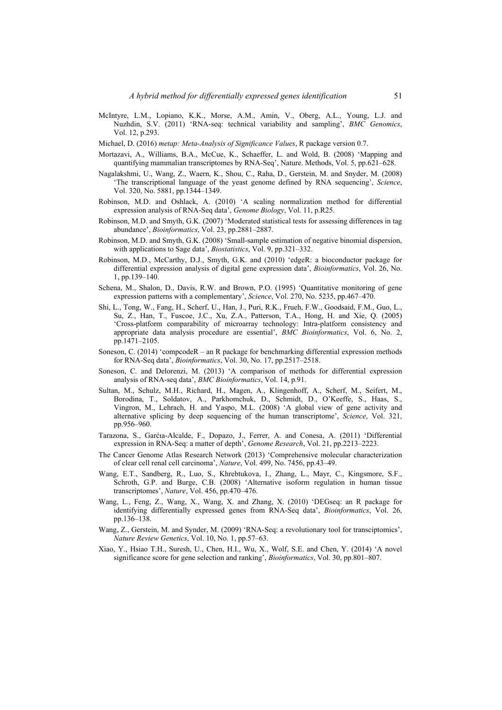- McIntyre, L.M., Lopiano, K.K., Morse, A.M., Amin, V., Oberg, A.L., Young, L.J. and Nuzhdin, S.V. (2011) 'RNA-seq: technical variability and sampling', *BMC Genomics*, Vol. 12, p.293.
- Michael, D. (2016) *metap: Meta-Analysis of Significance Values*, R package version 0.7.
- Mortazavi, A., Williams, B.A., McCue, K., Schaeffer, L. and Wold, B. (2008) 'Mapping and quantifying mammalian transcriptomes by RNA-Seq', Nature. Methods, Vol. 5, pp.621–628.
- Nagalakshmi, U., Wang, Z., Waern, K., Shou, C., Raha, D., Gerstein, M. and Snyder, M. (2008) 'The transcriptional language of the yeast genome defined by RNA sequencing', *Science*, Vol. 320, No. 5881, pp.1344–1349.
- Robinson, M.D. and Oshlack, A. (2010) 'A scaling normalization method for differential expression analysis of RNA-Seq data', *Genome Biology*, Vol. 11, p.R25.
- Robinson, M.D. and Smyth, G.K. (2007) 'Moderated statistical tests for assessing differences in tag abundance', *Bioinformatics*, Vol. 23, pp.2881–2887.
- Robinson, M.D. and Smyth, G.K. (2008) 'Small-sample estimation of negative binomial dispersion, with applications to Sage data', *Biostatistics*, Vol. 9, pp.321–332.
- Robinson, M.D., McCarthy, D.J., Smyth, G.K. and (2010) 'edgeR: a bioconductor package for differential expression analysis of digital gene expression data', *Bioinformatics*, Vol. 26, No. 1, pp.139–140.
- Schena, M., Shalon, D., Davis, R.W. and Brown, P.O. (1995) 'Quantitative monitoring of gene expression patterns with a complementary', *Science*, Vol. 270, No. 5235, pp.467–470.
- Shi, L., Tong, W., Fang, H., Scherf, U., Han, J., Puri, R.K., Frueh, F.W., Goodsaid, F.M., Guo, L., Su, Z., Han, T., Fuscoe, J.C., Xu, Z.A., Patterson, T.A., Hong, H. and Xie, Q. (2005) 'Cross-platform comparability of microarray technology: Intra-platform consistency and appropriate data analysis procedure are essential', *BMC Bioinformatics*, Vol. 6, No. 2, pp.1471–2105.
- Soneson, C. (2014) 'compcodeR an R package for benchmarking differential expression methods for RNA-Seq data', *Bioinformatics*, Vol. 30, No. 17, pp.2517–2518.
- Soneson, C. and Delorenzi, M. (2013) 'A comparison of methods for differential expression analysis of RNA-seq data', *BMC Bioinformatics*, Vol. 14, p.91.
- Sultan, M., Schulz, M.H., Richard, H., Magen, A., Klingenhoff, A., Scherf, M., Seifert, M., Borodina, T., Soldatov, A., Parkhomchuk, D., Schmidt, D., O'Keeffe, S., Haas, S., Vingron, M., Lehrach, H. and Yaspo, M.L. (2008) 'A global view of gene activity and alternative splicing by deep sequencing of the human transcriptome', *Science*, Vol. 321, pp.956–960.
- Tarazona, S., Garćıa-Alcalde, F., Dopazo, J., Ferrer, A. and Conesa, A. (2011) 'Differential expression in RNA-Seq: a matter of depth', *Genome Research*, Vol. 21, pp.2213–2223.
- The Cancer Genome Atlas Research Network (2013) 'Comprehensive molecular characterization of clear cell renal cell carcinoma', *Nature*, Vol. 499, No. 7456, pp.43–49.
- Wang, E.T., Sandberg, R., Luo, S., Khrebtukova, I., Zhang, L., Mayr, C., Kingsmore, S.F., Schroth, G.P. and Burge, C.B. (2008) 'Alternative isoform regulation in human tissue transcriptomes', *Nature*, Vol. 456, pp.470–476.
- Wang, L., Feng, Z., Wang, X., Wang, X. and Zhang, X. (2010) 'DEGseq: an R package for identifying differentially expressed genes from RNA-Seq data', *Bioinformatics*, Vol. 26, pp.136–138.
- Wang, Z., Gerstein, M. and Synder, M. (2009) 'RNA-Seq: a revolutionary tool for transciptomics', *Nature Review Genetics*, Vol. 10, No. 1, pp.57–63.
- Xiao, Y., Hsiao T.H., Suresh, U., Chen, H.I., Wu, X., Wolf, S.E. and Chen, Y. (2014) 'A novel significance score for gene selection and ranking', *Bioinformatics*, Vol. 30, pp.801–807.